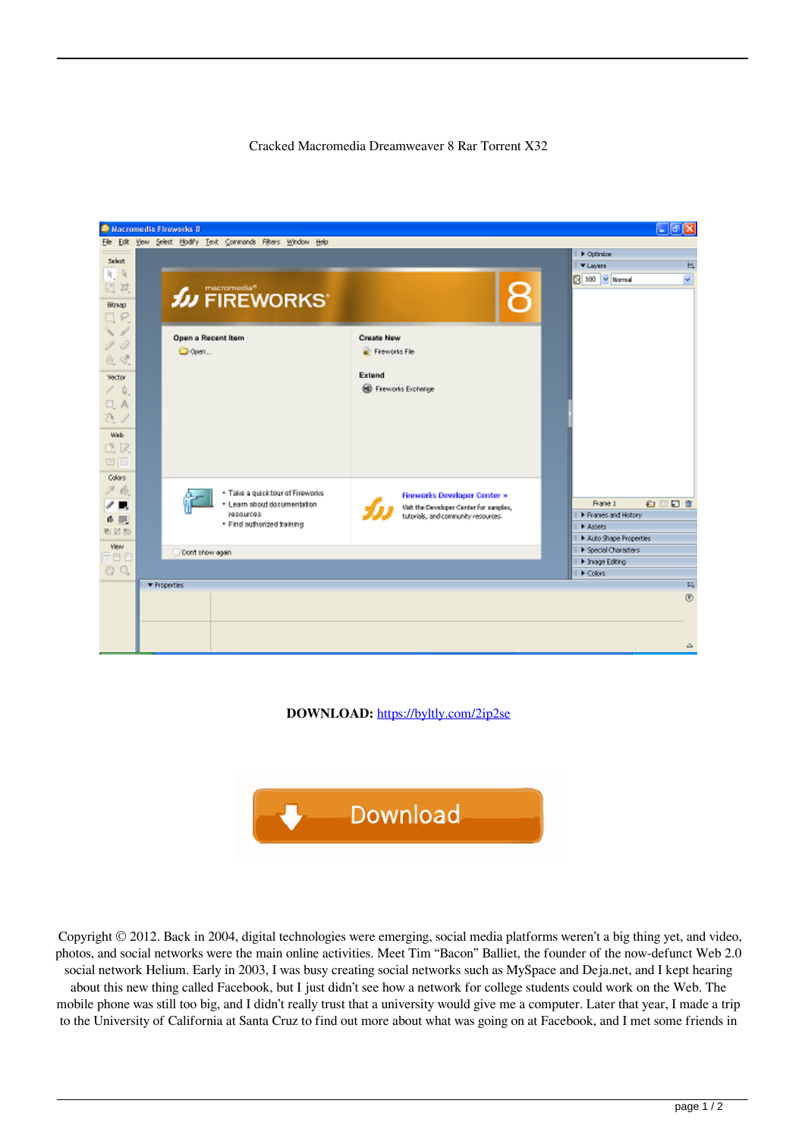## Cracked Macromedia Dreamweaver 8 Rar Torrent X32



**DOWNLOAD:** <https://byltly.com/2ip2se>



 Copyright © 2012. Back in 2004, digital technologies were emerging, social media platforms weren't a big thing yet, and video, photos, and social networks were the main online activities. Meet Tim "Bacon" Balliet, the founder of the now-defunct Web 2.0 social network Helium. Early in 2003, I was busy creating social networks such as MySpace and Deja.net, and I kept hearing about this new thing called Facebook, but I just didn't see how a network for college students could work on the Web. The mobile phone was still too big, and I didn't really trust that a university would give me a computer. Later that year, I made a trip to the University of California at Santa Cruz to find out more about what was going on at Facebook, and I met some friends in